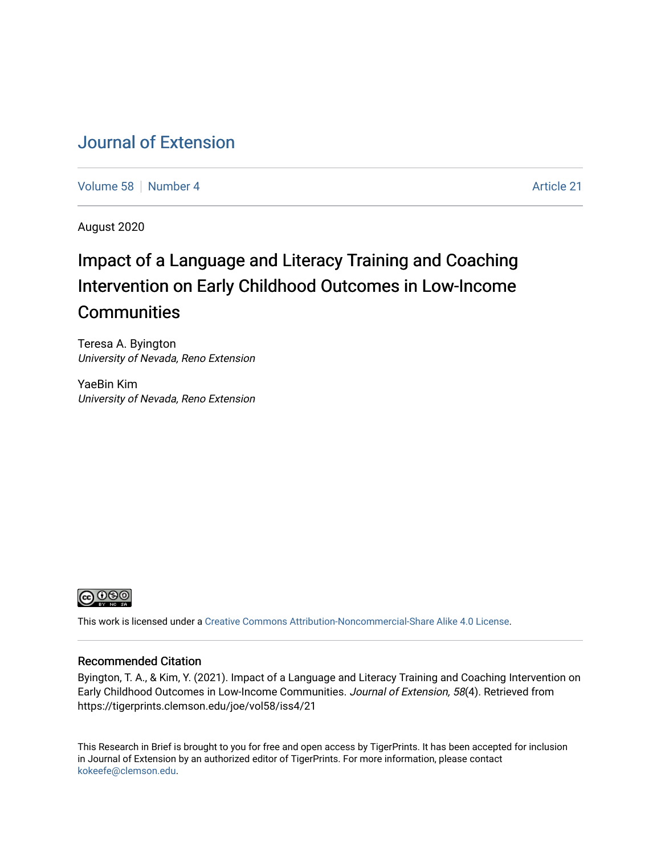# [Journal of Extension](https://tigerprints.clemson.edu/joe)

[Volume 58](https://tigerprints.clemson.edu/joe/vol58) [Number 4](https://tigerprints.clemson.edu/joe/vol58/iss4) Article 21

August 2020

# Impact of a Language and Literacy Training and Coaching Intervention on Early Childhood Outcomes in Low-Income **Communities**

Teresa A. Byington University of Nevada, Reno Extension

YaeBin Kim University of Nevada, Reno Extension



This work is licensed under a [Creative Commons Attribution-Noncommercial-Share Alike 4.0 License.](https://creativecommons.org/licenses/by-nc-sa/4.0/)

### Recommended Citation

Byington, T. A., & Kim, Y. (2021). Impact of a Language and Literacy Training and Coaching Intervention on Early Childhood Outcomes in Low-Income Communities. Journal of Extension, 58(4). Retrieved from https://tigerprints.clemson.edu/joe/vol58/iss4/21

This Research in Brief is brought to you for free and open access by TigerPrints. It has been accepted for inclusion in Journal of Extension by an authorized editor of TigerPrints. For more information, please contact [kokeefe@clemson.edu](mailto:kokeefe@clemson.edu).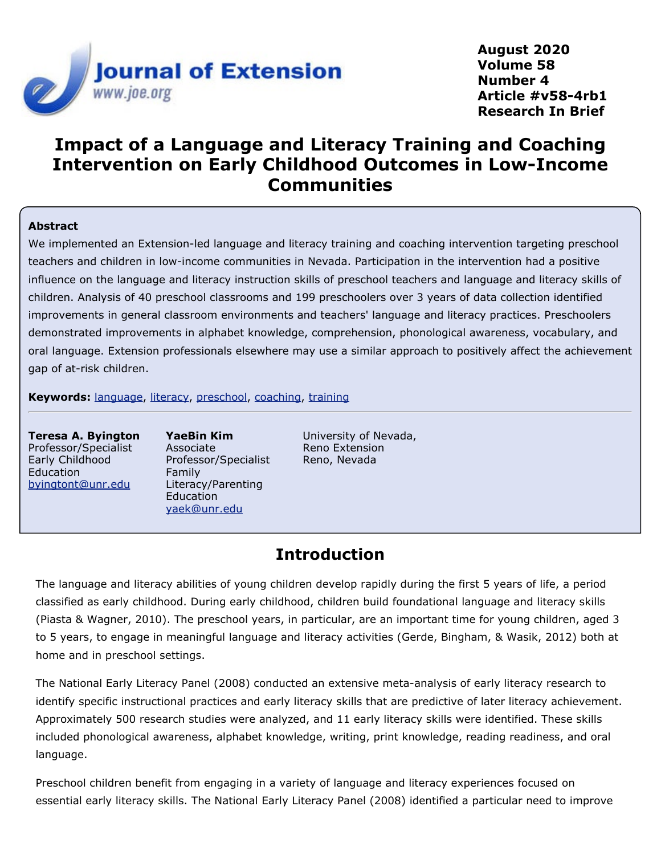

**August 2020 Volume 58 Number 4 Article #v58-4rb1 Research In Brief**

# **Impact of a Language and Literacy Training and Coaching Intervention on Early Childhood Outcomes in Low-Income Communities**

### **Abstract**

We implemented an Extension-led language and literacy training and coaching intervention targeting preschool teachers and children in low-income communities in Nevada. Participation in the intervention had a positive influence on the language and literacy instruction skills of preschool teachers and language and literacy skills of children. Analysis of 40 preschool classrooms and 199 preschoolers over 3 years of data collection identified improvements in general classroom environments and teachers' language and literacy practices. Preschoolers demonstrated improvements in alphabet knowledge, comprehension, phonological awareness, vocabulary, and oral language. Extension professionals elsewhere may use a similar approach to positively affect the achievement gap of at-risk children.

**Keywords:** [language](https://joe.org/search-results.php?cx=010816128502272931564%3Aopgn_voyplk&cof=FORID%3A10&ie=UTF-8&q=language&sa=Search+JOE#1039\), [literacy](https://joe.org/search-results.php?cx=010816128502272931564%3Aopgn_voyplk&cof=FORID%3A10&ie=UTF-8&q=literacy&sa=Search+JOE#1039\), [preschool](https://joe.org/search-results.php?cx=010816128502272931564%3Aopgn_voyplk&cof=FORID%3A10&ie=UTF-8&q=preschool&sa=Search+JOE#1039\), [coaching](https://joe.org/search-results.php?cx=010816128502272931564%3Aopgn_voyplk&cof=FORID%3A10&ie=UTF-8&q=coaching&sa=Search+JOE#1039\), [training](https://joe.org/search-results.php?cx=010816128502272931564%3Aopgn_voyplk&cof=FORID%3A10&ie=UTF-8&q=training&sa=Search+JOE#1039)

**Teresa A. Byington** Professor/Specialist Early Childhood Education [byingtont@unr.edu](mailto:byingtont@unr.edu)

**YaeBin Kim** Associate Professor/Specialist Family Literacy/Parenting Education [yaek@unr.edu](mailto:yaek@unr.edu)

University of Nevada, Reno Extension Reno, Nevada

### **Introduction**

The language and literacy abilities of young children develop rapidly during the first 5 years of life, a period classified as early childhood. During early childhood, children build foundational language and literacy skills (Piasta & Wagner, 2010). The preschool years, in particular, are an important time for young children, aged 3 to 5 years, to engage in meaningful language and literacy activities (Gerde, Bingham, & Wasik, 2012) both at home and in preschool settings.

The National Early Literacy Panel (2008) conducted an extensive meta-analysis of early literacy research to identify specific instructional practices and early literacy skills that are predictive of later literacy achievement. Approximately 500 research studies were analyzed, and 11 early literacy skills were identified. These skills included phonological awareness, alphabet knowledge, writing, print knowledge, reading readiness, and oral language.

Preschool children benefit from engaging in a variety of language and literacy experiences focused on essential early literacy skills. The National Early Literacy Panel (2008) identified a particular need to improve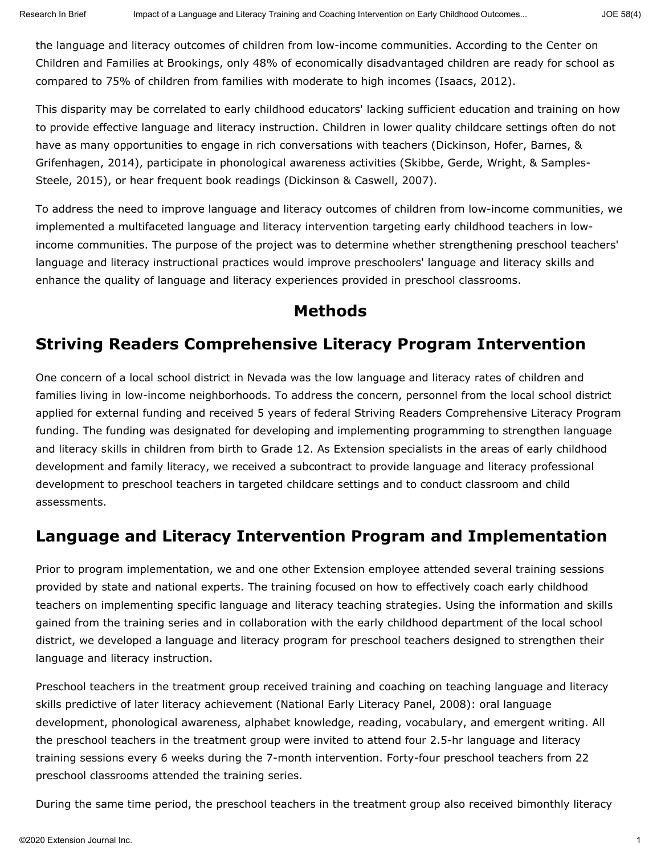the language and literacy outcomes of children from low-income communities. According to the Center on Children and Families at Brookings, only 48% of economically disadvantaged children are ready for school as compared to 75% of children from families with moderate to high incomes (Isaacs, 2012).

This disparity may be correlated to early childhood educators' lacking sufficient education and training on how to provide effective language and literacy instruction. Children in lower quality childcare settings often do not have as many opportunities to engage in rich conversations with teachers (Dickinson, Hofer, Barnes, & Grifenhagen, 2014), participate in phonological awareness activities (Skibbe, Gerde, Wright, & Samples-Steele, 2015), or hear frequent book readings (Dickinson & Caswell, 2007).

To address the need to improve language and literacy outcomes of children from low-income communities, we implemented a multifaceted language and literacy intervention targeting early childhood teachers in lowincome communities. The purpose of the project was to determine whether strengthening preschool teachers' language and literacy instructional practices would improve preschoolers' language and literacy skills and enhance the quality of language and literacy experiences provided in preschool classrooms.

### **Methods**

# **Striving Readers Comprehensive Literacy Program Intervention**

One concern of a local school district in Nevada was the low language and literacy rates of children and families living in low-income neighborhoods. To address the concern, personnel from the local school district applied for external funding and received 5 years of federal Striving Readers Comprehensive Literacy Program funding. The funding was designated for developing and implementing programming to strengthen language and literacy skills in children from birth to Grade 12. As Extension specialists in the areas of early childhood development and family literacy, we received a subcontract to provide language and literacy professional development to preschool teachers in targeted childcare settings and to conduct classroom and child assessments.

### **Language and Literacy Intervention Program and Implementation**

Prior to program implementation, we and one other Extension employee attended several training sessions provided by state and national experts. The training focused on how to effectively coach early childhood teachers on implementing specific language and literacy teaching strategies. Using the information and skills gained from the training series and in collaboration with the early childhood department of the local school district, we developed a language and literacy program for preschool teachers designed to strengthen their language and literacy instruction.

Preschool teachers in the treatment group received training and coaching on teaching language and literacy skills predictive of later literacy achievement (National Early Literacy Panel, 2008): oral language development, phonological awareness, alphabet knowledge, reading, vocabulary, and emergent writing. All the preschool teachers in the treatment group were invited to attend four 2.5-hr language and literacy training sessions every 6 weeks during the 7-month intervention. Forty-four preschool teachers from 22 preschool classrooms attended the training series.

During the same time period, the preschool teachers in the treatment group also received bimonthly literacy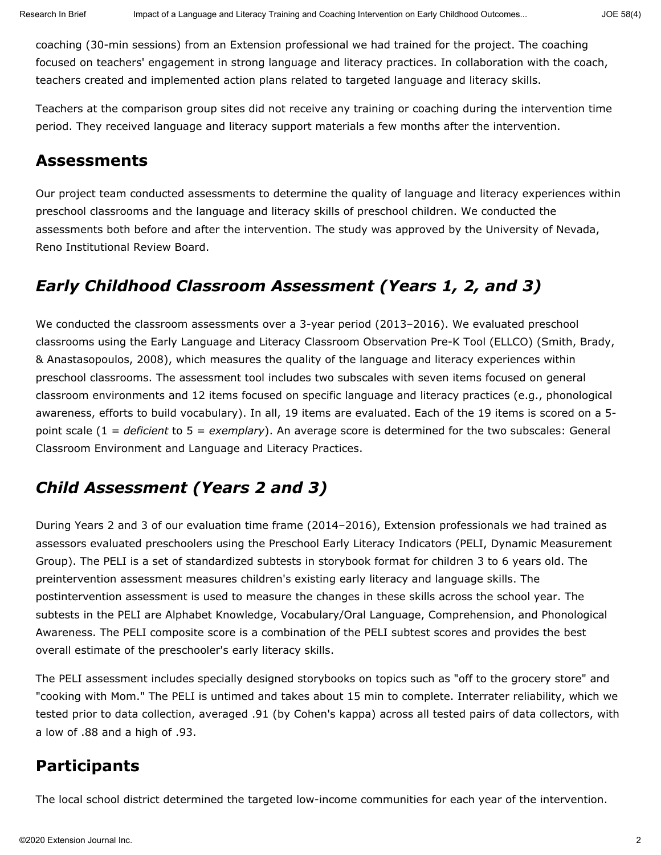coaching (30-min sessions) from an Extension professional we had trained for the project. The coaching focused on teachers' engagement in strong language and literacy practices. In collaboration with the coach, teachers created and implemented action plans related to targeted language and literacy skills.

Teachers at the comparison group sites did not receive any training or coaching during the intervention time period. They received language and literacy support materials a few months after the intervention.

### **Assessments**

Our project team conducted assessments to determine the quality of language and literacy experiences within preschool classrooms and the language and literacy skills of preschool children. We conducted the assessments both before and after the intervention. The study was approved by the University of Nevada, Reno Institutional Review Board.

# *Early Childhood Classroom Assessment (Years 1, 2, and 3)*

We conducted the classroom assessments over a 3-year period (2013–2016). We evaluated preschool classrooms using the Early Language and Literacy Classroom Observation Pre-K Tool (ELLCO) (Smith, Brady, & Anastasopoulos, 2008), which measures the quality of the language and literacy experiences within preschool classrooms. The assessment tool includes two subscales with seven items focused on general classroom environments and 12 items focused on specific language and literacy practices (e.g., phonological awareness, efforts to build vocabulary). In all, 19 items are evaluated. Each of the 19 items is scored on a 5 point scale (1 = *deficient* to 5 = *exemplary*). An average score is determined for the two subscales: General Classroom Environment and Language and Literacy Practices.

# *Child Assessment (Years 2 and 3)*

During Years 2 and 3 of our evaluation time frame (2014–2016), Extension professionals we had trained as assessors evaluated preschoolers using the Preschool Early Literacy Indicators (PELI, Dynamic Measurement Group). The PELI is a set of standardized subtests in storybook format for children 3 to 6 years old. The preintervention assessment measures children's existing early literacy and language skills. The postintervention assessment is used to measure the changes in these skills across the school year. The subtests in the PELI are Alphabet Knowledge, Vocabulary/Oral Language, Comprehension, and Phonological Awareness. The PELI composite score is a combination of the PELI subtest scores and provides the best overall estimate of the preschooler's early literacy skills.

The PELI assessment includes specially designed storybooks on topics such as "off to the grocery store" and "cooking with Mom." The PELI is untimed and takes about 15 min to complete. Interrater reliability, which we tested prior to data collection, averaged .91 (by Cohen's kappa) across all tested pairs of data collectors, with a low of .88 and a high of .93.

# **Participants**

The local school district determined the targeted low-income communities for each year of the intervention.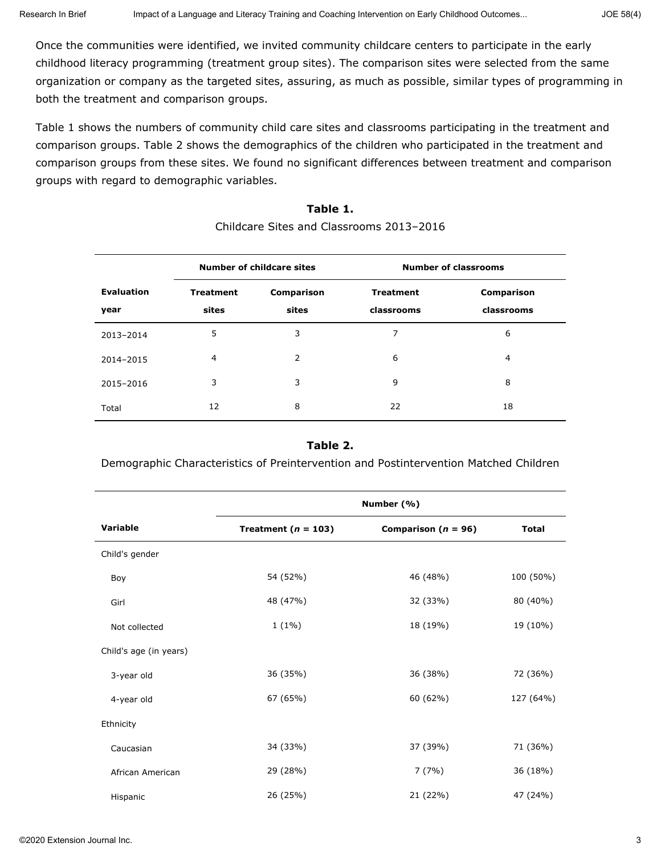Once the communities were identified, we invited community childcare centers to participate in the early childhood literacy programming (treatment group sites). The comparison sites were selected from the same organization or company as the targeted sites, assuring, as much as possible, similar types of programming in both the treatment and comparison groups.

Table 1 shows the numbers of community child care sites and classrooms participating in the treatment and comparison groups. Table 2 shows the demographics of the children who participated in the treatment and comparison groups from these sites. We found no significant differences between treatment and comparison groups with regard to demographic variables.

#### **Number of childcare sites Number of classrooms Evaluation year Treatment sites Comparison sites Treatment classrooms Comparison classrooms** 2013–2014 5 3 7 6 2014–2015 4 2 6 4 2015–2016 3 3 9 8 Total 12 8 22 18

# Childcare Sites and Classrooms 2013–2016

**Table 1.**

### **Table 2.**

Demographic Characteristics of Preintervention and Postintervention Matched Children

|                        | Number (%)              |                         |              |  |
|------------------------|-------------------------|-------------------------|--------------|--|
| Variable               | Treatment ( $n = 103$ ) | Comparison ( $n = 96$ ) | <b>Total</b> |  |
| Child's gender         |                         |                         |              |  |
| Boy                    | 54 (52%)                | 46 (48%)                | 100 (50%)    |  |
| Girl                   | 48 (47%)                | 32 (33%)                | 80 (40%)     |  |
| Not collected          | $1(1\%)$                | 18 (19%)                | 19 (10%)     |  |
| Child's age (in years) |                         |                         |              |  |
| 3-year old             | 36 (35%)                | 36 (38%)                | 72 (36%)     |  |
| 4-year old             | 67 (65%)                | 60 (62%)                | 127 (64%)    |  |
| Ethnicity              |                         |                         |              |  |
| Caucasian              | 34 (33%)                | 37 (39%)                | 71 (36%)     |  |
| African American       | 29 (28%)                | 7(7%)                   | 36 (18%)     |  |
| Hispanic               | 26 (25%)                | 21 (22%)                | 47 (24%)     |  |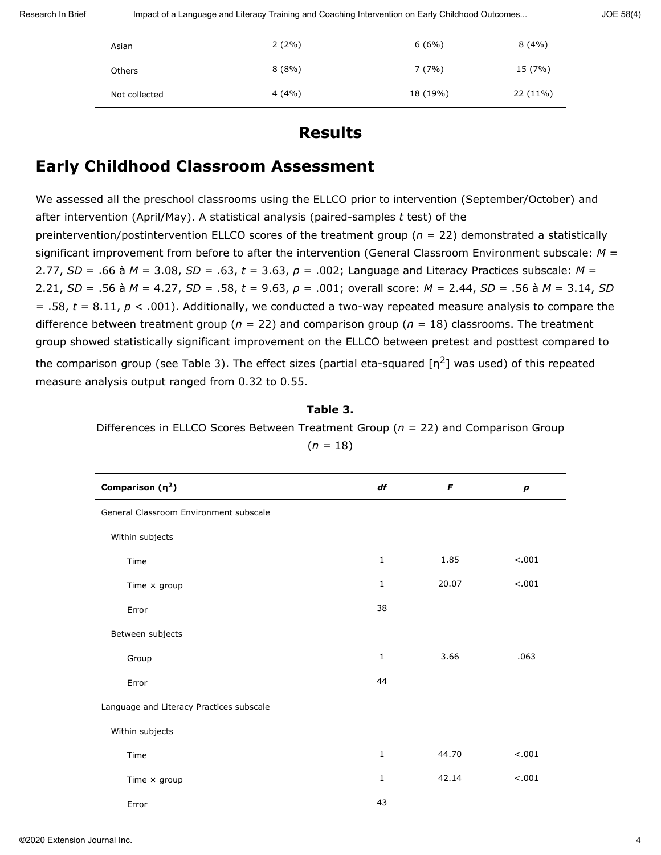Research In Brief Impact of a Language and Literacy Training and Coaching Intervention on Early Childhood Outcomes... JOE 58(4)

| Asian         | $2(2\%)$ | 6(6%)    | 8(4%)    |
|---------------|----------|----------|----------|
| <b>Others</b> | 8(8%)    | 7(7%)    | 15 (7%)  |
| Not collected | 4(4%)    | 18 (19%) | 22 (11%) |

### **Results**

### **Early Childhood Classroom Assessment**

We assessed all the preschool classrooms using the ELLCO prior to intervention (September/October) and after intervention (April/May). A statistical analysis (paired-samples *t* test) of the preintervention/postintervention ELLCO scores of the treatment group (*n* = 22) demonstrated a statistically significant improvement from before to after the intervention (General Classroom Environment subscale: *M* = 2.77, *SD* = .66 à *M* = 3.08, *SD* = .63, *t* = 3.63, *p* = .002; Language and Literacy Practices subscale: *M* = 2.21, *SD* = .56 à *M* = 4.27, *SD* = .58, *t* = 9.63, *p* = .001; overall score: *M* = 2.44, *SD* = .56 à *M* = 3.14, *SD* = .58, *t* = 8.11, *p* < .001). Additionally, we conducted a two-way repeated measure analysis to compare the difference between treatment group ( $n = 22$ ) and comparison group ( $n = 18$ ) classrooms. The treatment group showed statistically significant improvement on the ELLCO between pretest and posttest compared to the comparison group (see Table 3). The effect sizes (partial eta-squared  $\lceil n^2 \rceil$  was used) of this repeated measure analysis output ranged from 0.32 to 0.55.

### **Table 3.**

Differences in ELLCO Scores Between Treatment Group (*n* = 22) and Comparison Group  $(n = 18)$ 

| Comparison $(\eta^2)$                    | df           | F     | $\boldsymbol{p}$ |
|------------------------------------------|--------------|-------|------------------|
| General Classroom Environment subscale   |              |       |                  |
| Within subjects                          |              |       |                  |
| Time                                     | $\mathbf 1$  | 1.85  | $-.001$          |
| Time $\times$ group                      | $\mathbf{1}$ | 20.07 | < .001           |
| Error                                    | 38           |       |                  |
| Between subjects                         |              |       |                  |
| Group                                    | $\mathbf{1}$ | 3.66  | .063             |
| Error                                    | 44           |       |                  |
| Language and Literacy Practices subscale |              |       |                  |
| Within subjects                          |              |       |                  |
| Time                                     | $\mathbf 1$  | 44.70 | $-.001$          |
| Time $\times$ group                      | 1            | 42.14 | $-.001$          |
| Error                                    | 43           |       |                  |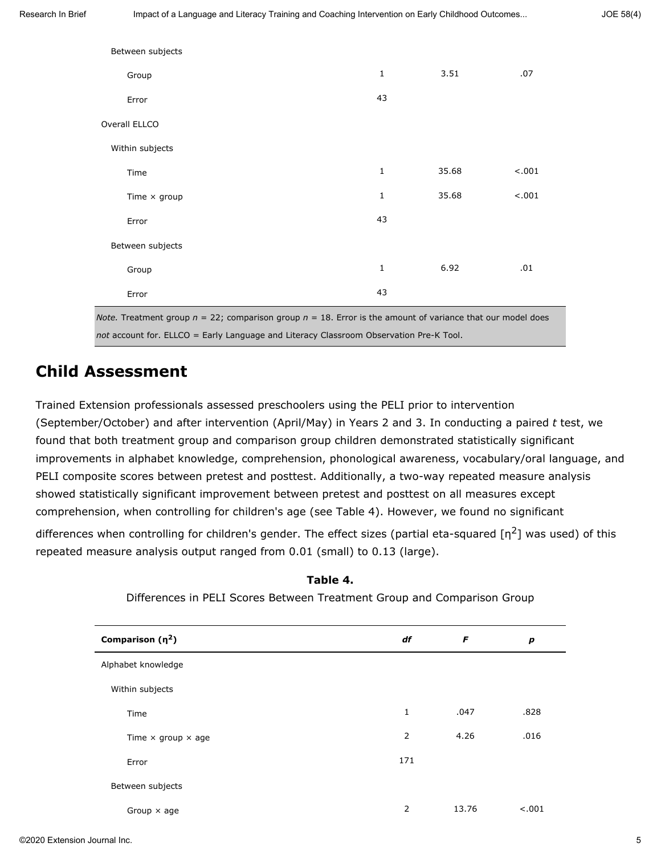| Between subjects                                                                                                 |              |       |         |
|------------------------------------------------------------------------------------------------------------------|--------------|-------|---------|
| Group                                                                                                            | $\mathbf{1}$ | 3.51  | .07     |
| Error                                                                                                            | 43           |       |         |
| Overall ELLCO                                                                                                    |              |       |         |
| Within subjects                                                                                                  |              |       |         |
| Time                                                                                                             | $\mathbf{1}$ | 35.68 | $-.001$ |
| Time $\times$ group                                                                                              | $\mathbf{1}$ | 35.68 | < .001  |
| Error                                                                                                            | 43           |       |         |
| Between subjects                                                                                                 |              |       |         |
| Group                                                                                                            | $\mathbf{1}$ | 6.92  | .01     |
| Error                                                                                                            | 43           |       |         |
| Note. Treatment group $n = 22$ ; comparison group $n = 18$ . Error is the amount of variance that our model does |              |       |         |

*not* account for. ELLCO = Early Language and Literacy Classroom Observation Pre-K Tool.

### **Child Assessment**

Trained Extension professionals assessed preschoolers using the PELI prior to intervention (September/October) and after intervention (April/May) in Years 2 and 3. In conducting a paired *t* test, we found that both treatment group and comparison group children demonstrated statistically significant improvements in alphabet knowledge, comprehension, phonological awareness, vocabulary/oral language, and PELI composite scores between pretest and posttest. Additionally, a two-way repeated measure analysis showed statistically significant improvement between pretest and posttest on all measures except comprehension, when controlling for children's age (see Table 4). However, we found no significant differences when controlling for children's gender. The effect sizes (partial eta-squared  $[n^2]$  was used) of this repeated measure analysis output ranged from 0.01 (small) to 0.13 (large).

| Comparison $(\eta^2)$            | df           | F     | p      |
|----------------------------------|--------------|-------|--------|
| Alphabet knowledge               |              |       |        |
| Within subjects                  |              |       |        |
| Time                             | $\mathbf{1}$ | .047  | .828   |
| Time $\times$ group $\times$ age | 2            | 4.26  | .016   |
| Error                            | 171          |       |        |
| Between subjects                 |              |       |        |
| Group $\times$ age               | 2            | 13.76 | < .001 |

**Table 4.** Differences in PELI Scores Between Treatment Group and Comparison Group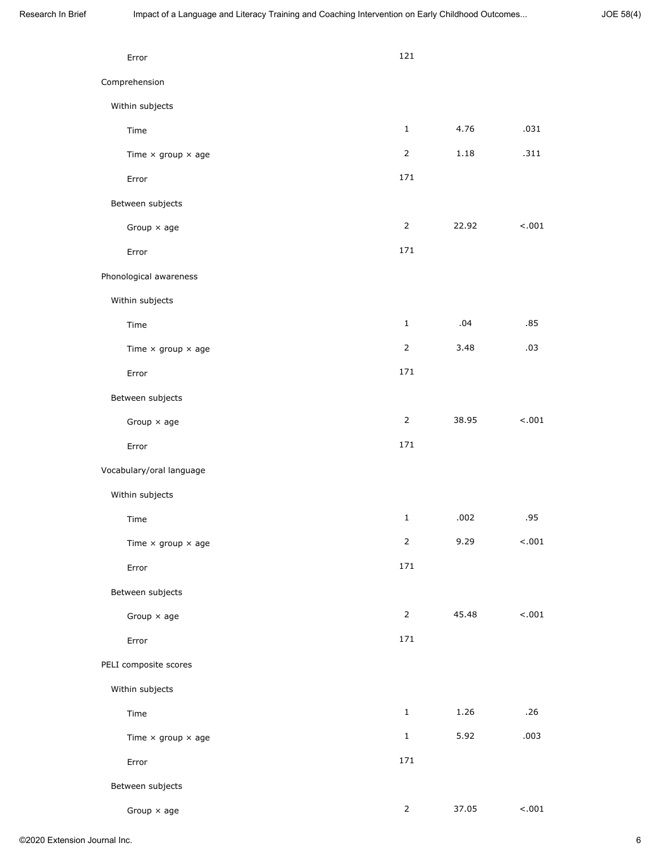| Error                            | 121            |       |         |
|----------------------------------|----------------|-------|---------|
| Comprehension                    |                |       |         |
| Within subjects                  |                |       |         |
| Time                             | $\mathbf{1}$   | 4.76  | .031    |
| Time $\times$ group $\times$ age | $\overline{2}$ | 1.18  | .311    |
| Error                            | 171            |       |         |
| Between subjects                 |                |       |         |
| Group $\times$ age               | $\overline{2}$ | 22.92 | < .001  |
| Error                            | 171            |       |         |
| Phonological awareness           |                |       |         |
| Within subjects                  |                |       |         |
| Time                             | $\mathbf{1}$   | .04   | .85     |
| Time $\times$ group $\times$ age | $\overline{2}$ | 3.48  | .03     |
| Error                            | 171            |       |         |
| Between subjects                 |                |       |         |
| Group $\times$ age               | $\overline{2}$ | 38.95 | $-.001$ |
| Error                            | 171            |       |         |
| Vocabulary/oral language         |                |       |         |
| Within subjects                  |                |       |         |
| Time                             | $1\,$          | .002  | .95     |
| Time $\times$ group $\times$ age | $\overline{2}$ | 9.29  | 1001    |
| Error                            | 171            |       |         |
| Between subjects                 |                |       |         |
| Group $\times$ age               | $\overline{2}$ | 45.48 | $-.001$ |
| Error                            | 171            |       |         |
| PELI composite scores            |                |       |         |
| Within subjects                  |                |       |         |
| Time                             | $\mathbf{1}$   | 1.26  | .26     |
| Time $\times$ group $\times$ age | $\mathbf{1}$   | 5.92  | .003    |
| Error                            | 171            |       |         |
| Between subjects                 |                |       |         |
| Group $\times$ age               | $\overline{2}$ | 37.05 | $-.001$ |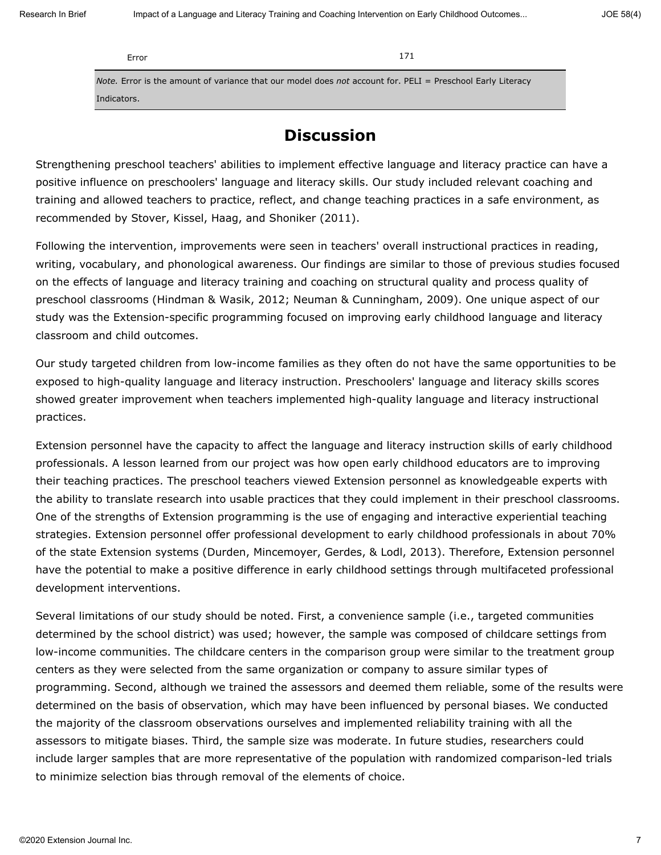Error 171

*Note.* Error is the amount of variance that our model does *not* account for. PELI = Preschool Early Literacy Indicators.

### **Discussion**

Strengthening preschool teachers' abilities to implement effective language and literacy practice can have a positive influence on preschoolers' language and literacy skills. Our study included relevant coaching and training and allowed teachers to practice, reflect, and change teaching practices in a safe environment, as recommended by Stover, Kissel, Haag, and Shoniker (2011).

Following the intervention, improvements were seen in teachers' overall instructional practices in reading, writing, vocabulary, and phonological awareness. Our findings are similar to those of previous studies focused on the effects of language and literacy training and coaching on structural quality and process quality of preschool classrooms (Hindman & Wasik, 2012; Neuman & Cunningham, 2009). One unique aspect of our study was the Extension-specific programming focused on improving early childhood language and literacy classroom and child outcomes.

Our study targeted children from low-income families as they often do not have the same opportunities to be exposed to high-quality language and literacy instruction. Preschoolers' language and literacy skills scores showed greater improvement when teachers implemented high-quality language and literacy instructional practices.

Extension personnel have the capacity to affect the language and literacy instruction skills of early childhood professionals. A lesson learned from our project was how open early childhood educators are to improving their teaching practices. The preschool teachers viewed Extension personnel as knowledgeable experts with the ability to translate research into usable practices that they could implement in their preschool classrooms. One of the strengths of Extension programming is the use of engaging and interactive experiential teaching strategies. Extension personnel offer professional development to early childhood professionals in about 70% of the state Extension systems (Durden, Mincemoyer, Gerdes, & Lodl, 2013). Therefore, Extension personnel have the potential to make a positive difference in early childhood settings through multifaceted professional development interventions.

Several limitations of our study should be noted. First, a convenience sample (i.e., targeted communities determined by the school district) was used; however, the sample was composed of childcare settings from low-income communities. The childcare centers in the comparison group were similar to the treatment group centers as they were selected from the same organization or company to assure similar types of programming. Second, although we trained the assessors and deemed them reliable, some of the results were determined on the basis of observation, which may have been influenced by personal biases. We conducted the majority of the classroom observations ourselves and implemented reliability training with all the assessors to mitigate biases. Third, the sample size was moderate. In future studies, researchers could include larger samples that are more representative of the population with randomized comparison-led trials to minimize selection bias through removal of the elements of choice.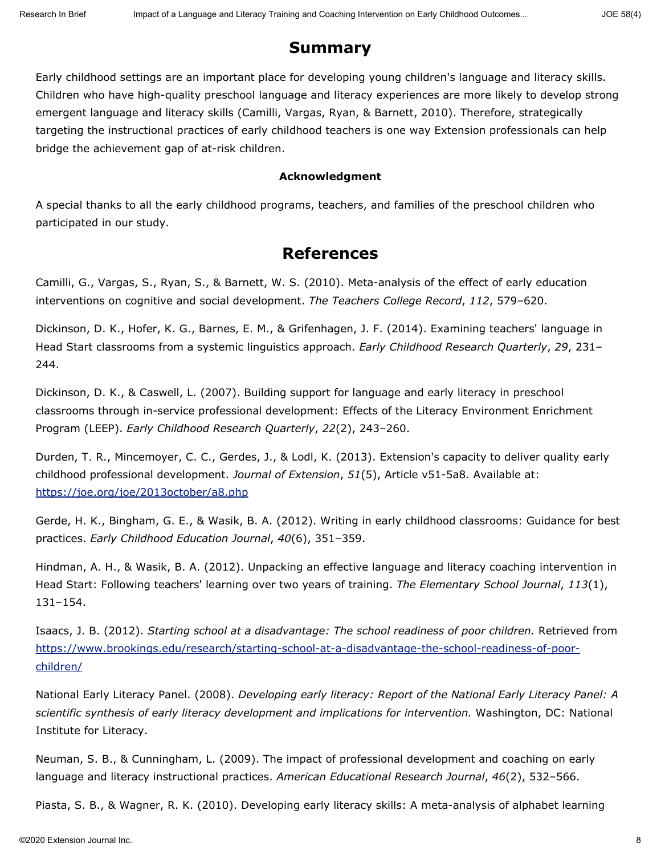### **Summary**

Early childhood settings are an important place for developing young children's language and literacy skills. Children who have high-quality preschool language and literacy experiences are more likely to develop strong emergent language and literacy skills (Camilli, Vargas, Ryan, & Barnett, 2010). Therefore, strategically targeting the instructional practices of early childhood teachers is one way Extension professionals can help bridge the achievement gap of at-risk children.

### **Acknowledgment**

A special thanks to all the early childhood programs, teachers, and families of the preschool children who participated in our study.

### **References**

Camilli, G., Vargas, S., Ryan, S., & Barnett, W. S. (2010). Meta-analysis of the effect of early education interventions on cognitive and social development. *The Teachers College Record*, *112*, 579–620.

Dickinson, D. K., Hofer, K. G., Barnes, E. M., & Grifenhagen, J. F. (2014). Examining teachers' language in Head Start classrooms from a systemic linguistics approach. *Early Childhood Research Quarterly*, *29*, 231– 244.

Dickinson, D. K., & Caswell, L. (2007). Building support for language and early literacy in preschool classrooms through in-service professional development: Effects of the Literacy Environment Enrichment Program (LEEP). *Early Childhood Research Quarterly*, *22*(2), 243–260.

Durden, T. R., Mincemoyer, C. C., Gerdes, J., & Lodl, K. (2013). Extension's capacity to deliver quality early childhood professional development. *Journal of Extension*, *51*(5), Article v51-5a8. Available at: <https://joe.org/joe/2013october/a8.php>

Gerde, H. K., Bingham, G. E., & Wasik, B. A. (2012). Writing in early childhood classrooms: Guidance for best practices. *Early Childhood Education Journal*, *40*(6), 351–359.

Hindman, A. H., & Wasik, B. A. (2012). Unpacking an effective language and literacy coaching intervention in Head Start: Following teachers' learning over two years of training. *The Elementary School Journal*, *113*(1), 131–154.

Isaacs, J. B. (2012). *Starting school at a disadvantage: The school readiness of poor children.* Retrieved from [https://www.brookings.edu/research/starting-school-at-a-disadvantage-the-school-readiness-of-poor](https://www.brookings.edu/research/starting-school-at-a-disadvantage-the-school-readiness-of-poor-children/)[children/](https://www.brookings.edu/research/starting-school-at-a-disadvantage-the-school-readiness-of-poor-children/)

National Early Literacy Panel. (2008). *Developing early literacy: Report of the National Early Literacy Panel: A scientific synthesis of early literacy development and implications for intervention.* Washington, DC: National Institute for Literacy.

Neuman, S. B., & Cunningham, L. (2009). The impact of professional development and coaching on early language and literacy instructional practices. *American Educational Research Journal*, *46*(2), 532–566.

Piasta, S. B., & Wagner, R. K. (2010). Developing early literacy skills: A meta-analysis of alphabet learning